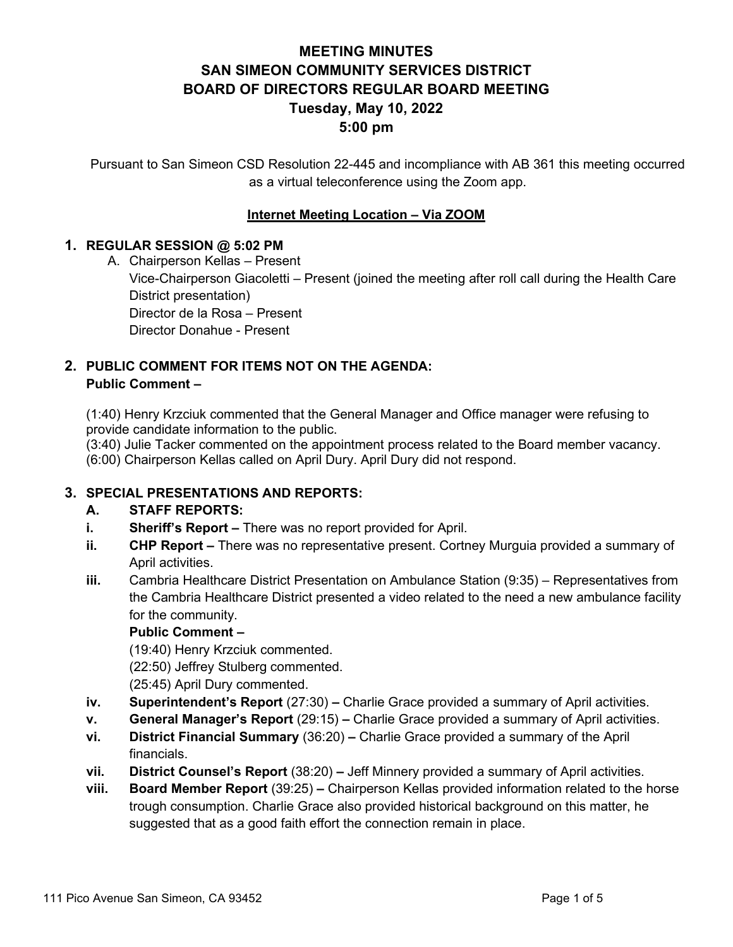# **MEETING MINUTES SAN SIMEON COMMUNITY SERVICES DISTRICT BOARD OF DIRECTORS REGULAR BOARD MEETING Tuesday, May 10, 2022 5:00 pm**

Pursuant to San Simeon CSD Resolution 22-445 and incompliance with AB 361 this meeting occurred as a virtual teleconference using the Zoom app.

## **Internet Meeting Location – Via ZOOM**

## **1. REGULAR SESSION @ 5:02 PM**

A. Chairperson Kellas – Present

Vice-Chairperson Giacoletti – Present (joined the meeting after roll call during the Health Care District presentation)

Director de la Rosa – Present

Director Donahue - Present

# **2. PUBLIC COMMENT FOR ITEMS NOT ON THE AGENDA: Public Comment –**

(1:40) Henry Krzciuk commented that the General Manager and Office manager were refusing to provide candidate information to the public.

(3:40) Julie Tacker commented on the appointment process related to the Board member vacancy. (6:00) Chairperson Kellas called on April Dury. April Dury did not respond.

## **3. SPECIAL PRESENTATIONS AND REPORTS:**

## **A. STAFF REPORTS:**

- **i. Sheriff's Report –** There was no report provided for April.
- **ii. CHP Report –** There was no representative present. Cortney Murguia provided a summary of April activities.
- **iii.** Cambria Healthcare District Presentation on Ambulance Station (9:35) Representatives from the Cambria Healthcare District presented a video related to the need a new ambulance facility for the community.

## **Public Comment –**

(19:40) Henry Krzciuk commented. (22:50) Jeffrey Stulberg commented. (25:45) April Dury commented.

- **iv. Superintendent's Report** (27:30) Charlie Grace provided a summary of April activities.
- **v. General Manager's Report** (29:15) **–** Charlie Grace provided a summary of April activities.
- **vi. District Financial Summary** (36:20) **–** Charlie Grace provided a summary of the April financials.
- **vii. District Counsel's Report** (38:20) **–** Jeff Minnery provided a summary of April activities.
- **viii. Board Member Report** (39:25) **–** Chairperson Kellas provided information related to the horse trough consumption. Charlie Grace also provided historical background on this matter, he suggested that as a good faith effort the connection remain in place.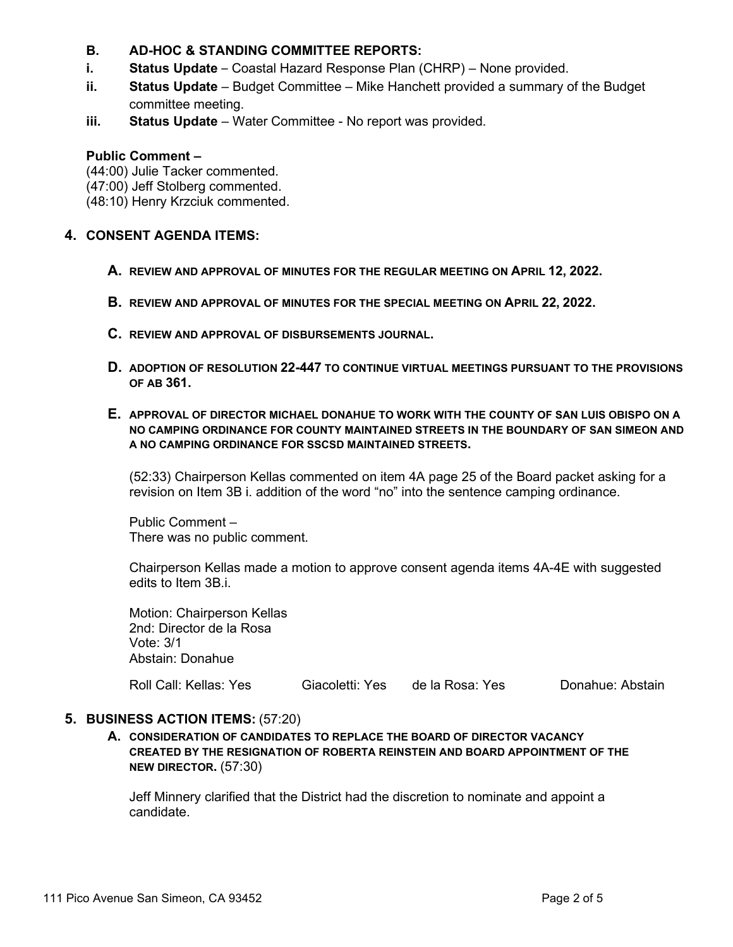## **B. AD-HOC & STANDING COMMITTEE REPORTS:**

- **i. Status Update**  Coastal Hazard Response Plan (CHRP) None provided.
- **ii. Status Update** Budget Committee Mike Hanchett provided a summary of the Budget committee meeting.
- **iii. Status Update** Water Committee No report was provided.

#### **Public Comment –**

(44:00) Julie Tacker commented.

(47:00) Jeff Stolberg commented.

(48:10) Henry Krzciuk commented.

### **4. CONSENT AGENDA ITEMS:**

- **A. REVIEW AND APPROVAL OF MINUTES FOR THE REGULAR MEETING ON APRIL 12, 2022.**
- **B. REVIEW AND APPROVAL OF MINUTES FOR THE SPECIAL MEETING ON APRIL 22, 2022.**
- **C. REVIEW AND APPROVAL OF DISBURSEMENTS JOURNAL.**
- **D. ADOPTION OF RESOLUTION 22-447 TO CONTINUE VIRTUAL MEETINGS PURSUANT TO THE PROVISIONS OF AB 361.**
- **E. APPROVAL OF DIRECTOR MICHAEL DONAHUE TO WORK WITH THE COUNTY OF SAN LUIS OBISPO ON A NO CAMPING ORDINANCE FOR COUNTY MAINTAINED STREETS IN THE BOUNDARY OF SAN SIMEON AND A NO CAMPING ORDINANCE FOR SSCSD MAINTAINED STREETS.**

(52:33) Chairperson Kellas commented on item 4A page 25 of the Board packet asking for a revision on Item 3B i. addition of the word "no" into the sentence camping ordinance.

Public Comment – There was no public comment.

Chairperson Kellas made a motion to approve consent agenda items 4A-4E with suggested edits to Item 3B.i.

Motion: Chairperson Kellas 2nd: Director de la Rosa Vote: 3/1 Abstain: Donahue

Roll Call: Kellas: Yes Giacoletti: Yes de la Rosa: Yes Donahue: Abstain

## **5. BUSINESS ACTION ITEMS:** (57:20)

**A. CONSIDERATION OF CANDIDATES TO REPLACE THE BOARD OF DIRECTOR VACANCY CREATED BY THE RESIGNATION OF ROBERTA REINSTEIN AND BOARD APPOINTMENT OF THE NEW DIRECTOR.** (57:30)

Jeff Minnery clarified that the District had the discretion to nominate and appoint a candidate.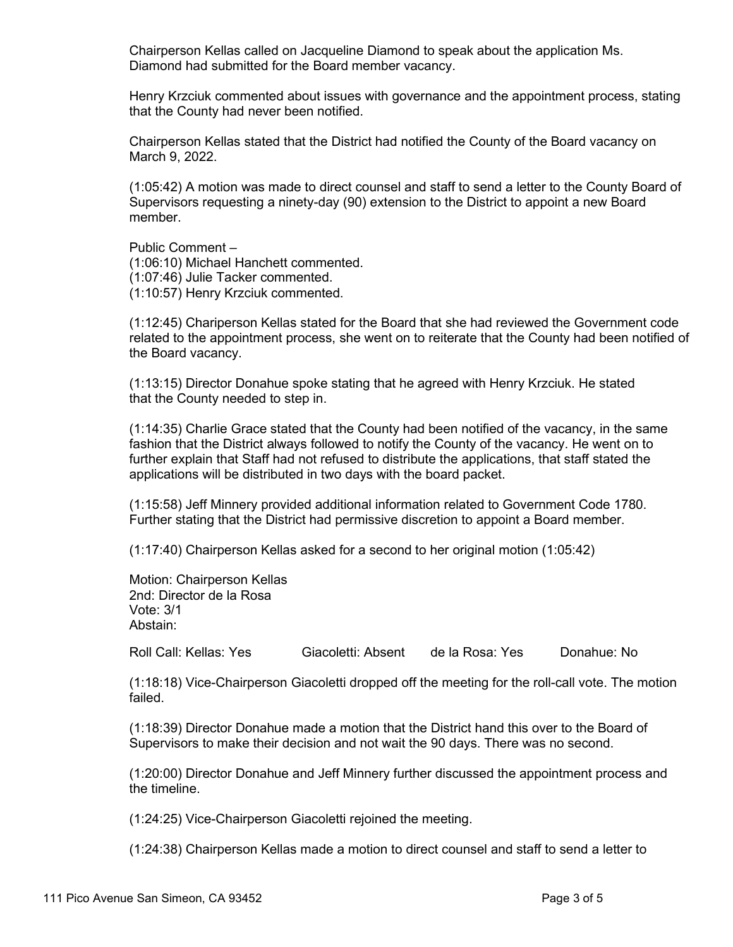Chairperson Kellas called on Jacqueline Diamond to speak about the application Ms. Diamond had submitted for the Board member vacancy.

Henry Krzciuk commented about issues with governance and the appointment process, stating that the County had never been notified.

Chairperson Kellas stated that the District had notified the County of the Board vacancy on March 9, 2022.

(1:05:42) A motion was made to direct counsel and staff to send a letter to the County Board of Supervisors requesting a ninety-day (90) extension to the District to appoint a new Board member.

Public Comment – (1:06:10) Michael Hanchett commented. (1:07:46) Julie Tacker commented. (1:10:57) Henry Krzciuk commented.

(1:12:45) Chariperson Kellas stated for the Board that she had reviewed the Government code related to the appointment process, she went on to reiterate that the County had been notified of the Board vacancy.

(1:13:15) Director Donahue spoke stating that he agreed with Henry Krzciuk. He stated that the County needed to step in.

(1:14:35) Charlie Grace stated that the County had been notified of the vacancy, in the same fashion that the District always followed to notify the County of the vacancy. He went on to further explain that Staff had not refused to distribute the applications, that staff stated the applications will be distributed in two days with the board packet.

(1:15:58) Jeff Minnery provided additional information related to Government Code 1780. Further stating that the District had permissive discretion to appoint a Board member.

(1:17:40) Chairperson Kellas asked for a second to her original motion (1:05:42)

Motion: Chairperson Kellas 2nd: Director de la Rosa Vote: 3/1 Abstain:

Roll Call: Kellas: Yes Giacoletti: Absent de la Rosa: Yes Donahue: No

(1:18:18) Vice-Chairperson Giacoletti dropped off the meeting for the roll-call vote. The motion failed.

(1:18:39) Director Donahue made a motion that the District hand this over to the Board of Supervisors to make their decision and not wait the 90 days. There was no second.

(1:20:00) Director Donahue and Jeff Minnery further discussed the appointment process and the timeline.

(1:24:25) Vice-Chairperson Giacoletti rejoined the meeting.

(1:24:38) Chairperson Kellas made a motion to direct counsel and staff to send a letter to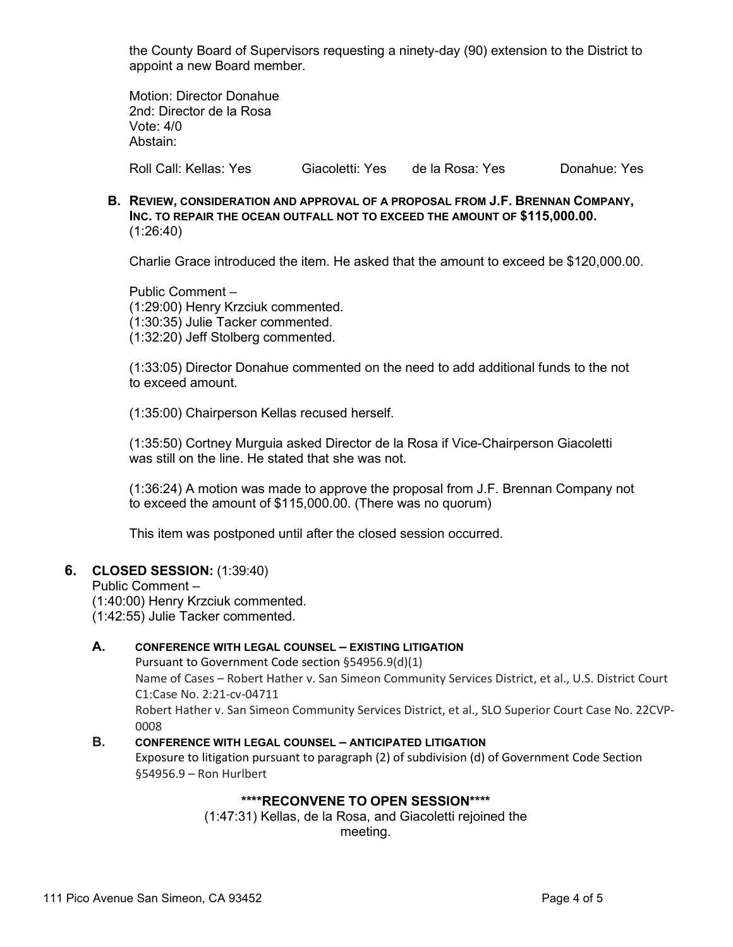the County Board of Supervisors requesting a ninety-day (90) extension to the District to appoint a new Board member.

Motion: Director Donahue 2nd: Director de la Rosa Vote: 4/0 Abstain:

Roll Call: Kellas: Yes Giacoletti: Yes de la Rosa: Yes Donahue: Yes

**B. REVIEW, CONSIDERATION AND APPROVAL OF A PROPOSAL FROM J.F. BRENNAN COMPANY, INC. TO REPAIR THE OCEAN OUTFALL NOT TO EXCEED THE AMOUNT OF \$115,000.00.** (1:26:40)

Charlie Grace introduced the item. He asked that the amount to exceed be \$120,000.00.

Public Comment – (1:29:00) Henry Krzciuk commented. (1:30:35) Julie Tacker commented. (1:32:20) Jeff Stolberg commented.

(1:33:05) Director Donahue commented on the need to add additional funds to the not to exceed amount.

(1:35:00) Chairperson Kellas recused herself.

(1:35:50) Cortney Murguia asked Director de la Rosa if Vice-Chairperson Giacoletti was still on the line. He stated that she was not.

(1:36:24) A motion was made to approve the proposal from J.F. Brennan Company not to exceed the amount of \$115,000.00. (There was no quorum)

This item was postponed until after the closed session occurred.

#### **6. CLOSED SESSION:** (1:39:40)

Public Comment –

(1:40:00) Henry Krzciuk commented.

(1:42:55) Julie Tacker commented.

#### **A. CONFERENCE WITH LEGAL COUNSEL – EXISTING LITIGATION**

Pursuant to Government Code section §54956.9(d)(1) Name of Cases – Robert Hather v. San Simeon Community Services District, et al., U.S. District Court C1:Case No. 2:21-cv-04711 Robert Hather v. San Simeon Community Services District, et al., SLO Superior Court Case No. 22CVP-0008

#### **B. CONFERENCE WITH LEGAL COUNSEL – ANTICIPATED LITIGATION**

Exposure to litigation pursuant to paragraph (2) of subdivision (d) of Government Code Section §54956.9 – Ron Hurlbert

#### **\*\*\*\*RECONVENE TO OPEN SESSION\*\*\*\***

(1:47:31) Kellas, de la Rosa, and Giacoletti rejoined the meeting.